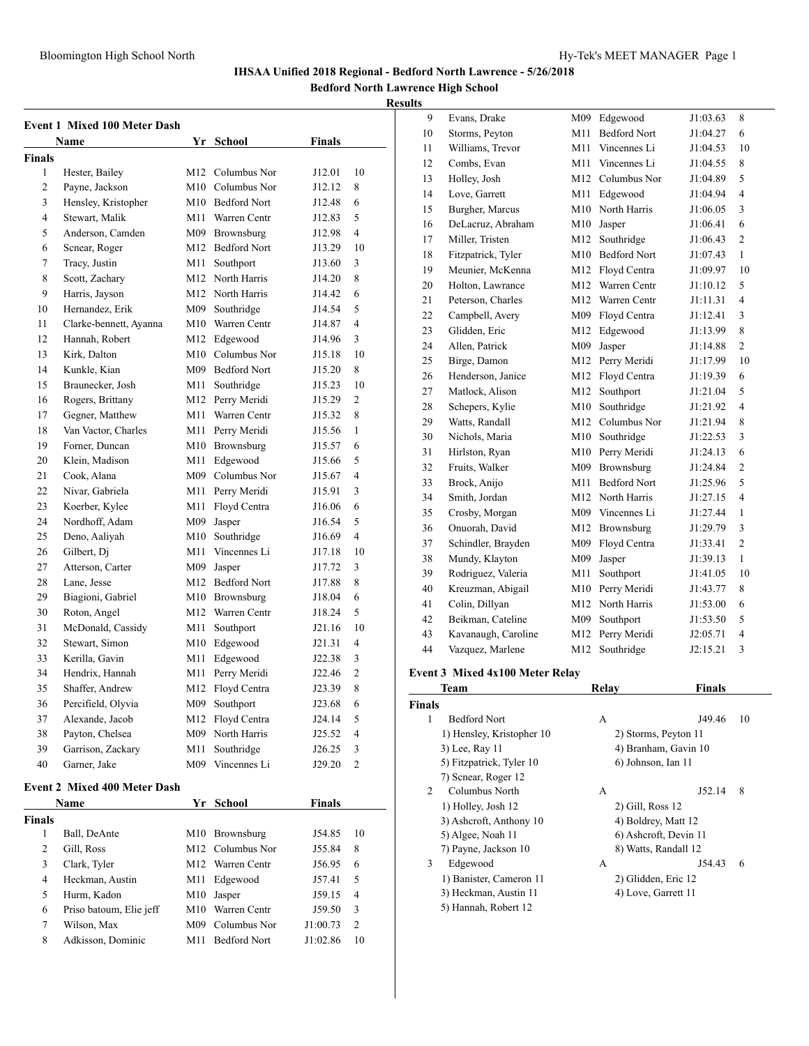## **IHSAA Unified 2018 Regional - Bedford North Lawrence - 5/26/2018**

**Bedford North Lawrence High School**

## **Results**

| <b>Event 1 Mixed 100 Meter Dash</b> |                                     |     |                              |          |                |  |
|-------------------------------------|-------------------------------------|-----|------------------------------|----------|----------------|--|
| Name                                |                                     |     | Yr School                    | Finals   |                |  |
| Finals                              |                                     |     |                              |          |                |  |
| 1                                   | Hester, Bailey                      | M12 | Columbus Nor                 | J12.01   | 10             |  |
| 2                                   | Payne, Jackson                      | M10 | Columbus Nor                 | J12.12   | 8              |  |
| 3                                   | Hensley, Kristopher                 |     | M <sub>10</sub> Bedford Nort | J12.48   | 6              |  |
| 4                                   | Stewart, Malik                      |     | M11 Warren Centr             | J12.83   | 5              |  |
| 5                                   | Anderson, Camden                    |     | M09 Brownsburg               | J12.98   | $\overline{4}$ |  |
| 6                                   | Scnear, Roger                       |     | M12 Bedford Nort             | J13.29   | 10             |  |
| 7                                   | Tracy, Justin                       |     | M11 Southport                | J13.60   | 3              |  |
| 8                                   | Scott, Zachary                      |     | M12 North Harris             | J14.20   | 8              |  |
| 9                                   | Harris, Jayson                      |     | M12 North Harris             | J14.42   | 6              |  |
| 10                                  | Hernandez, Erik                     | M09 | Southridge                   | J14.54   | 5              |  |
| 11                                  | Clarke-bennett, Ayanna              |     | M10 Warren Centr             | J14.87   | $\overline{4}$ |  |
| 12                                  | Hannah, Robert                      |     | M12 Edgewood                 | J14.96   | 3              |  |
| 13                                  | Kirk, Dalton                        |     | M10 Columbus Nor             | J15.18   | 10             |  |
| 14                                  | Kunkle, Kian                        |     | M09 Bedford Nort             | J15.20   | 8              |  |
| 15                                  | Braunecker, Josh                    | M11 | Southridge                   | J15.23   | 10             |  |
| 16                                  | Rogers, Brittany                    |     | M12 Perry Meridi             | J15.29   | 2              |  |
| 17                                  | Gegner, Matthew                     |     | M11 Warren Centr             | J15.32   | 8              |  |
| 18                                  | Van Vactor, Charles                 | M11 | Perry Meridi                 | J15.56   | 1              |  |
| 19                                  | Forner, Duncan                      |     | M10 Brownsburg               | J15.57   | 6              |  |
| 20                                  | Klein, Madison                      | M11 | Edgewood                     | J15.66   | 5              |  |
| 21                                  | Cook, Alana                         |     | M09 Columbus Nor             | J15.67   | 4              |  |
| 22                                  | Nivar, Gabriela                     |     | M11 Perry Meridi             | J15.91   | 3              |  |
| 23                                  | Koerber, Kylee                      | M11 | Floyd Centra                 | J16.06   | 6              |  |
| 24                                  | Nordhoff, Adam                      | M09 | Jasper                       | J16.54   | 5              |  |
| 25                                  | Deno, Aaliyah                       | M10 | Southridge                   | J16.69   | $\overline{4}$ |  |
| 26                                  | Gilbert, Di                         | M11 | Vincennes Li                 | J17.18   | 10             |  |
| 27                                  | Atterson, Carter                    | M09 | Jasper                       | J17.72   | 3              |  |
| 28                                  | Lane, Jesse                         |     | M12 Bedford Nort             | J17.88   | 8              |  |
| 29                                  | Biagioni, Gabriel                   |     | M10 Brownsburg               | J18.04   | 6              |  |
| 30                                  | Roton, Angel                        |     | M12 Warren Centr             | J18.24   | 5              |  |
| 31                                  | McDonald, Cassidy                   | M11 | Southport                    | J21.16   | 10             |  |
| 32                                  | Stewart, Simon                      |     | M10 Edgewood                 | J21.31   | $\overline{4}$ |  |
| 33                                  | Kerilla, Gavin                      | M11 | Edgewood                     | J22.38   | 3              |  |
| 34                                  | Hendrix, Hannah                     | M11 | Perry Meridi                 | J22.46   | 2              |  |
| 35                                  | Shaffer, Andrew                     | M12 | Floyd Centra                 | J23.39   | 8              |  |
| 36                                  | Percifield, Olyvia                  | M09 | Southport                    | J23.68   | 6              |  |
| 37                                  | Alexande, Jacob                     | M12 | Floyd Centra                 | J24.14   | 5              |  |
| 38                                  | Payton, Chelsea                     | M09 | North Harris                 | J25.52   | 4              |  |
| 39                                  | Garrison, Zackary                   | M11 | Southridge                   | J26.25   | 3              |  |
| 40                                  | Garner, Jake                        | M09 | Vincennes Li                 | J29.20   | 2              |  |
|                                     | <b>Event 2 Mixed 400 Meter Dash</b> |     |                              |          |                |  |
|                                     | <b>Name</b>                         |     | Yr School                    | Finals   |                |  |
| Finals                              |                                     |     |                              |          |                |  |
| $\mathbf{1}$                        | Ball, DeAnte                        | M10 | Brownsburg                   | J54.85   | 10             |  |
| 2                                   | Gill, Ross                          | M12 | Columbus Nor                 | J55.84   | 8              |  |
| 3                                   | Clark, Tyler                        | M12 | Warren Centr                 | J56.95   | 6              |  |
| 4                                   | Heckman, Austin                     | M11 | Edgewood                     | J57.41   | 5              |  |
| 5                                   | Hurm, Kadon                         | M10 | Jasper                       | J59.15   | 4              |  |
| 6                                   | Priso batoum, Elie jeff             | M10 | Warren Centr                 | J59.50   | 3              |  |
| 7                                   | Wilson, Max                         | M09 | Columbus Nor                 | J1:00.73 | $\mathfrak{2}$ |  |
| 8                                   | Adkisson, Dominic                   | M11 | Bedford Nort                 | J1:02.86 | 10             |  |

| 9                  | Evans, Drake                    | M09 | Edgewood              | J1:03.63 | 8            |
|--------------------|---------------------------------|-----|-----------------------|----------|--------------|
| 10                 | Storms, Peyton                  | M11 | <b>Bedford Nort</b>   | J1:04.27 | 6            |
| 11                 | Williams, Trevor                | M11 | Vincennes Li          | J1:04.53 | 10           |
| 12                 | Combs, Evan                     | M11 | Vincennes Li          | J1:04.55 | 8            |
| 13                 | Holley, Josh                    |     | M12 Columbus Nor      | J1:04.89 | 5            |
| 14                 | Love, Garrett                   | M11 | Edgewood              | J1:04.94 | 4            |
| 15                 | Burgher, Marcus                 | M10 | North Harris          | J1:06.05 | 3            |
| 16                 | DeLacruz, Abraham               | M10 | Jasper                | J1:06.41 | 6            |
| 17                 | Miller, Tristen                 | M12 | Southridge            | J1:06.43 | 2            |
| 18                 | Fitzpatrick, Tyler              | M10 | <b>Bedford Nort</b>   | J1:07.43 | 1            |
| 19                 | Meunier, McKenna                | M12 | Floyd Centra          | J1:09.97 | 10           |
| 20                 | Holton, Lawrance                | M12 | Warren Centr          | J1:10.12 | 5            |
| 21                 | Peterson, Charles               | M12 | Warren Centr          | J1:11.31 | 4            |
| 22                 | Campbell, Avery                 | M09 | Floyd Centra          | J1:12.41 | 3            |
| 23                 | Glidden, Eric                   | M12 | Edgewood              | J1:13.99 | 8            |
| 24                 | Allen, Patrick                  | M09 | Jasper                | J1:14.88 | 2            |
| 25                 | Birge, Damon                    | M12 | Perry Meridi          | J1:17.99 | 10           |
| 26                 | Henderson, Janice               | M12 | Floyd Centra          | J1:19.39 | 6            |
| 27                 | Matlock, Alison                 | M12 | Southport             | J1:21.04 | 5            |
| 28                 | Schepers, Kylie                 | M10 | Southridge            | J1:21.92 | 4            |
| 29                 | Watts, Randall                  | M12 | Columbus Nor          | J1:21.94 | 8            |
| 30                 | Nichols, Maria                  | M10 | Southridge            | J1:22.53 | 3            |
| 31                 | Hirlston, Ryan                  | M10 | Perry Meridi          | J1:24.13 | 6            |
| 32                 | Fruits, Walker                  | M09 | Brownsburg            | J1:24.84 | 2            |
| 33                 | Brock, Anijo                    | M11 | <b>Bedford Nort</b>   | J1:25.96 | 5            |
| 34                 | Smith, Jordan                   |     | M12 North Harris      | J1:27.15 | 4            |
| 35                 | Crosby, Morgan                  |     | M09 Vincennes Li      | J1:27.44 | $\mathbf{1}$ |
| 36                 | Onuorah, David                  | M12 | Brownsburg            | J1:29.79 | 3            |
| 37                 | Schindler, Brayden              | M09 | Floyd Centra          | J1:33.41 | 2            |
| 38                 | Mundy, Klayton                  | M09 | Jasper                | J1:39.13 | $\mathbf{1}$ |
| 39                 | Rodriguez, Valeria              | M11 | Southport             | J1:41.05 | 10           |
| 40                 | Kreuzman, Abigail               | M10 | Perry Meridi          | J1:43.77 | 8            |
| 41                 | Colin, Dillyan                  | M12 | North Harris          | J1:53.00 | 6            |
| 42                 | Beikman, Cateline               | M09 | Southport             | J1:53.50 | 5            |
| 43                 | Kavanaugh, Caroline             | M12 | Perry Meridi          | J2:05.71 | 4            |
| 44                 | Vazquez, Marlene                | M12 | Southridge            | J2:15.21 | 3            |
|                    |                                 |     |                       |          |              |
|                    | Event 3 Mixed 4x100 Meter Relay |     |                       |          |              |
|                    | Team                            |     | <b>Relay</b>          | Finals   |              |
| <b>Finals</b><br>1 | <b>Bedford Nort</b>             |     | А                     | J49.46   | 10           |
|                    | 1) Hensley, Kristopher 10       |     | 2) Storms, Peyton 11  |          |              |
|                    | 3) Lee, Ray 11                  |     | 4) Branham, Gavin 10  |          |              |
|                    | 5) Fitzpatrick, Tyler 10        |     | 6) Johnson, Ian 11    |          |              |
|                    | 7) Scnear, Roger 12             |     |                       |          |              |
| 2                  | Columbus North                  |     | А                     | J52.14   | 8            |
|                    | 1) Holley, Josh 12              |     | 2) Gill, Ross 12      |          |              |
|                    | 3) Ashcroft, Anthony 10         |     | 4) Boldrey, Matt 12   |          |              |
|                    | 5) Algee, Noah 11               |     | 6) Ashcroft, Devin 11 |          |              |
|                    | 7) Payne, Jackson 10            |     | 8) Watts, Randall 12  |          |              |

3 Edgewood A 1) Banister, Cameron 11 3) Heckman, Austin 11

5) Hannah, Robert 12

| 2) Storms, Peyton 11<br>4) Branham, Gavin 10 |        |   |
|----------------------------------------------|--------|---|
| 6) Johnson, Ian 11                           |        |   |
|                                              | J52.14 | 8 |
| 2) Gill, Ross 12                             |        |   |
| 4) Boldrey, Matt 12                          |        |   |
| 6) Ashcroft, Devin 11                        |        |   |
| 8) Watts, Randall 12                         |        |   |
|                                              | J54.43 |   |
| 2) Glidden, Eric 12                          |        |   |
| 4) Love, Garrett 11                          |        |   |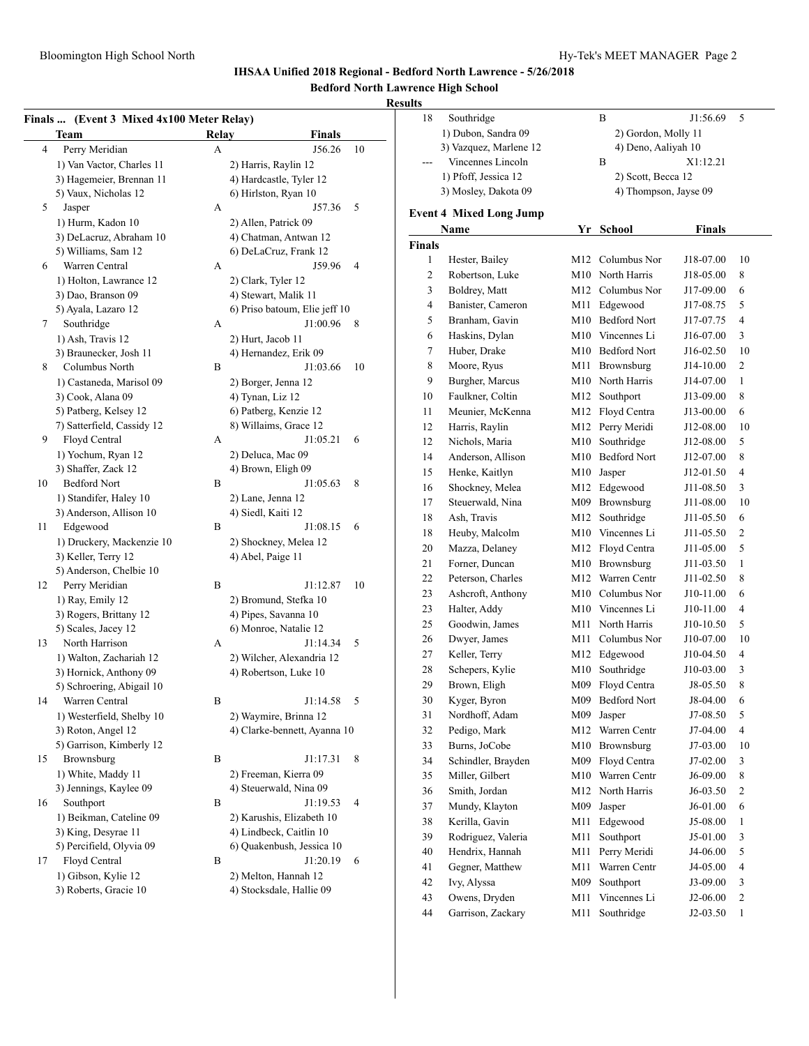## **IHSAA Unified 2018 Regional - Bedford North Lawrence - 5/26/2018**

## **Bedford North Lawrence High School**

# **Results**

|                | Finals  (Event 3 Mixed 4x100 Meter Relay)<br>Team | Relay | <b>Finals</b>                 |    |                  | Southridge<br>1) Dubon, Sa |
|----------------|---------------------------------------------------|-------|-------------------------------|----|------------------|----------------------------|
| $\overline{4}$ | Perry Meridian                                    | А     | J56.26                        | 10 |                  | 3) Vazquez, M              |
|                | 1) Van Vactor, Charles 11                         |       | 2) Harris, Raylin 12          |    |                  | Vincennes I                |
|                | 3) Hagemeier, Brennan 11                          |       | 4) Hardcastle, Tyler 12       |    |                  | 1) Pfoff, Jessi            |
|                | 5) Vaux, Nicholas 12                              |       | 6) Hirlston, Ryan 10          |    |                  | 3) Mosley, Da              |
| 5              | Jasper                                            | А     | J57.36                        | 5  |                  |                            |
|                | 1) Hurm, Kadon 10                                 |       | 2) Allen, Patrick 09          |    |                  | <b>Event 4 Mixed Lo</b>    |
|                | 3) DeLacruz, Abraham 10                           |       | 4) Chatman, Antwan 12         |    |                  | Name                       |
|                | 5) Williams, Sam 12                               |       | 6) DeLaCruz, Frank 12         |    | <b>Finals</b>    |                            |
| 6              | Warren Central                                    | A     | J59.96                        | 4  | 1                | Hester, Bail               |
|                | 1) Holton, Lawrance 12                            |       | 2) Clark, Tyler 12            |    | $\sqrt{2}$       | Robertson,                 |
|                | 3) Dao, Branson 09                                |       | 4) Stewart, Malik 11          |    | $\mathfrak{Z}$   | Boldrey, Ma                |
|                | 5) Ayala, Lazaro 12                               |       | 6) Priso batoum, Elie jeff 10 |    | $\overline{4}$   | Banister, Ca               |
| 7              | Southridge                                        | A     | J1:00.96                      | 8  | 5                | Branham, C                 |
|                | 1) Ash, Travis 12                                 |       | 2) Hurt, Jacob 11             |    | $\boldsymbol{6}$ | Haskins, Dy                |
|                | 3) Braunecker, Josh 11                            |       | 4) Hernandez, Erik 09         |    | 7                | Huber, Dral                |
| 8              | Columbus North                                    | B     | J1:03.66                      | 10 | $\,$ 8 $\,$      | Moore, Ryu                 |
|                | 1) Castaneda, Marisol 09                          |       | 2) Borger, Jenna 12           |    | 9                | Burgher, M                 |
|                | 3) Cook, Alana 09                                 |       | 4) Tynan, Liz 12              |    | 10               | Faulkner, C                |
|                | 5) Patberg, Kelsey 12                             |       | 6) Patberg, Kenzie 12         |    | 11               | Meunier, M                 |
|                | 7) Satterfield, Cassidy 12                        |       | 8) Willaims, Grace 12         |    | 12               | Harris, Ray                |
| 9              | Floyd Central                                     | А     | J1:05.21                      | 6  | 12               | Nichols, Ma                |
|                | 1) Yochum, Ryan 12                                |       | 2) Deluca, Mac 09             |    | 14               | Anderson, A                |
|                | 3) Shaffer, Zack 12                               |       | 4) Brown, Eligh 09            |    | 15               | Henke, Kai                 |
| 10             | <b>Bedford Nort</b>                               | B     | J1:05.63                      | 8  | 16               | Shockney, N                |
|                | 1) Standifer, Haley 10                            |       | 2) Lane, Jenna 12             |    | $17\,$           | Steuerwald,                |
|                | 3) Anderson, Allison 10                           |       | 4) Siedl, Kaiti 12            |    |                  |                            |
| 11             | Edgewood                                          | B     | J1:08.15                      | 6  | $18\,$           | Ash, Travis                |
|                | 1) Druckery, Mackenzie 10                         |       | 2) Shockney, Melea 12         |    | 18               | Heuby, Mal                 |
|                | 3) Keller, Terry 12                               |       | 4) Abel, Paige 11             |    | $20\,$           | Mazza, Del                 |
|                | 5) Anderson, Chelbie 10                           |       |                               |    | 21               | Forner, Dur                |
| 12             | Perry Meridian                                    | B     | J1:12.87                      | 10 | 22               | Peterson, C.               |
|                | 1) Ray, Emily 12                                  |       | 2) Bromund, Stefka 10         |    | 23               | Ashcroft, A                |
|                | 3) Rogers, Brittany 12                            |       | 4) Pipes, Savanna 10          |    | 23               | Halter, Add                |
|                | 5) Scales, Jacey 12                               |       | 6) Monroe, Natalie 12         |    | 25               | Goodwin, J                 |
| 13             | North Harrison                                    | A     | J1:14.34                      | 5  | 26               | Dwyer, Jam                 |
|                | 1) Walton, Zachariah 12                           |       | 2) Wilcher, Alexandria 12     |    | 27               | Keller, Terr               |
|                | 3) Hornick, Anthony 09                            |       | 4) Robertson, Luke 10         |    | 28               | Schepers, K                |
|                | 5) Schroering, Abigail 10                         |       |                               |    | 29               | Brown, Elig                |
| 14             | Warren Central                                    | B     | J1:14.58                      | 5  | 30               | Kyger, Byro                |
|                | 1) Westerfield, Shelby 10                         |       | 2) Waymire, Brinna 12         |    | 31               | Nordhoff, A                |
|                | 3) Roton, Angel 12                                |       | 4) Clarke-bennett, Ayanna 10  |    | 32               | Pedigo, Ma                 |
|                | 5) Garrison, Kimberly 12                          |       |                               |    | 33               | Burns, JoCo                |
| 15             | Brownsburg                                        | B     | J1:17.31                      | 8  | 34               | Schindler, E               |
|                | 1) White, Maddy 11                                |       | 2) Freeman, Kierra 09         |    | 35               | Miller, Gilb               |
|                | 3) Jennings, Kaylee 09                            |       | 4) Steuerwald, Nina 09        |    | 36               | Smith, Jord                |
| 16             | Southport                                         | B     | J1:19.53                      | 4  | 37               | Mundy, Kla                 |
|                | 1) Beikman, Cateline 09                           |       | 2) Karushis, Elizabeth 10     |    | 38               | Kerilla, Gav               |
|                | 3) King, Desyrae 11                               |       | 4) Lindbeck, Caitlin 10       |    | 39               | Rodriguez,                 |
|                | 5) Percifield, Olyvia 09                          |       | 6) Quakenbush, Jessica 10     |    | $40\,$           |                            |
| 17             | Floyd Central                                     | B     | J1:20.19                      | 6  |                  | Hendrix, Ha                |
|                | 1) Gibson, Kylie 12                               |       | 2) Melton, Hannah 12          |    | 41               | Gegner, Ma                 |
|                | 3) Roberts, Gracie 10                             |       | 4) Stocksdale, Hallie 09      |    | 42               | Ivy, Alyssa                |
|                |                                                   |       |                               |    | 43               | Owens, Dry                 |

| 18             | Southridge                                    |     | В                     | J1:56.69      | 5                       |
|----------------|-----------------------------------------------|-----|-----------------------|---------------|-------------------------|
|                | 1) Dubon, Sandra 09                           |     | 2) Gordon, Molly 11   |               |                         |
|                | 3) Vazquez, Marlene 12<br>4) Deno, Aaliyah 10 |     |                       |               |                         |
|                | Vincennes Lincoln                             |     | B                     | X1:12.21      |                         |
|                | 1) Pfoff, Jessica 12                          |     | 2) Scott, Becca 12    |               |                         |
|                | 3) Mosley, Dakota 09                          |     | 4) Thompson, Jayse 09 |               |                         |
|                | <b>Event 4 Mixed Long Jump</b>                |     |                       |               |                         |
|                | Name                                          | Yr  | <b>School</b>         | <b>Finals</b> |                         |
| Finals         |                                               |     |                       |               |                         |
| 1              | Hester, Bailey                                | M12 | Columbus Nor          | J18-07.00     | 10                      |
| 2              | Robertson, Luke                               |     | M10 North Harris      | J18-05.00     | 8                       |
| 3              | Boldrey, Matt                                 |     | M12 Columbus Nor      | J17-09.00     | 6                       |
| $\overline{4}$ | Banister, Cameron                             | M11 | Edgewood              | J17-08.75     | 5                       |
| 5              | Branham, Gavin                                |     | M10 Bedford Nort      | J17-07.75     | 4                       |
| 6              | Haskins, Dylan                                |     | M10 Vincennes Li      | J16-07.00     | 3                       |
| 7              | Huber, Drake                                  |     | M10 Bedford Nort      | J16-02.50     | 10                      |
| 8              | Moore, Ryus                                   | M11 | Brownsburg            | J14-10.00     | 2                       |
| 9              | Burgher, Marcus                               |     | M10 North Harris      | J14-07.00     | 1                       |
| 10             | Faulkner, Coltin                              |     | M12 Southport         | J13-09.00     | 8                       |
| 11             | Meunier, McKenna                              | M12 | Floyd Centra          | J13-00.00     | 6                       |
| 12             | Harris, Raylin                                | M12 | Perry Meridi          | J12-08.00     | 10                      |
| 12             | Nichols, Maria                                | M10 | Southridge            | J12-08.00     | 5                       |
| 14             | Anderson, Allison                             | M10 | <b>Bedford Nort</b>   | J12-07.00     | 8                       |
| 15             | Henke, Kaitlyn                                |     |                       | J12-01.50     | 4                       |
| 16             |                                               | M10 | Jasper                |               | 3                       |
|                | Shockney, Melea                               | M12 | Edgewood              | J11-08.50     | 10                      |
| 17             | Steuerwald, Nina                              | M09 | Brownsburg            | J11-08.00     |                         |
| 18             | Ash, Travis                                   | M12 | Southridge            | J11-05.50     | 6                       |
| 18             | Heuby, Malcolm                                |     | M10 Vincennes Li      | J11-05.50     | $\overline{c}$          |
| 20             | Mazza, Delaney                                |     | M12 Floyd Centra      | J11-05.00     | 5                       |
| 21             | Forner, Duncan                                |     | M10 Brownsburg        | J11-03.50     | $\mathbf{1}$            |
| 22             | Peterson, Charles                             | M12 | Warren Centr          | J11-02.50     | 8                       |
| 23             | Ashcroft, Anthony                             |     | M10 Columbus Nor      | J10-11.00     | 6                       |
| 23             | Halter, Addy                                  |     | M10 Vincennes Li      | J10-11.00     | 4                       |
| 25             | Goodwin, James                                | M11 | North Harris          | J10-10.50     | 5                       |
| 26             | Dwyer, James                                  | M11 | Columbus Nor          | J10-07.00     | 10                      |
| 27             | Keller, Terry                                 | M12 | Edgewood              | J10-04.50     | 4                       |
| 28             | Schepers, Kylie                               | M10 | Southridge            | J10-03.00     | 3                       |
| 29             | Brown, Eligh                                  | M09 | Floyd Centra          | J8-05.50      | 8                       |
| 30             | Kyger, Byron                                  | M09 | <b>Bedford Nort</b>   | J8-04.00      | 6                       |
| 31             | Nordhoff, Adam                                | M09 | Jasper                | J7-08.50      | 5                       |
| 32             | Pedigo, Mark                                  | M12 | Warren Centr          | J7-04.00      | $\overline{\mathbf{4}}$ |
| 33             | Burns, JoCobe                                 | M10 | Brownsburg            | J7-03.00      | 10                      |
| 34             | Schindler, Brayden                            | M09 | Floyd Centra          | J7-02.00      | 3                       |
| 35             | Miller, Gilbert                               | M10 | Warren Centr          | $J6-09.00$    | 8                       |
| 36             | Smith, Jordan                                 | M12 | North Harris          | J6-03.50      | 2                       |
| 37             | Mundy, Klayton                                | M09 | Jasper                | J6-01.00      | 6                       |
| 38             | Kerilla, Gavin                                | M11 | Edgewood              | J5-08.00      | 1                       |
| 39             | Rodriguez, Valeria                            | M11 | Southport             | J5-01.00      | 3                       |
| 40             | Hendrix, Hannah                               | M11 | Perry Meridi          | J4-06.00      | 5                       |
| 41             | Gegner, Matthew                               | M11 | Warren Centr          | J4-05.00      | $\overline{\mathbf{4}}$ |
| 42             | Ivy, Alyssa                                   | M09 | Southport             | J3-09.00      | 3                       |
| 43             | Owens, Dryden                                 | M11 | Vincennes Li          | J2-06.00      | $\overline{c}$          |
| 44             | Garrison, Zackary                             | M11 | Southridge            | J2-03.50      | 1                       |